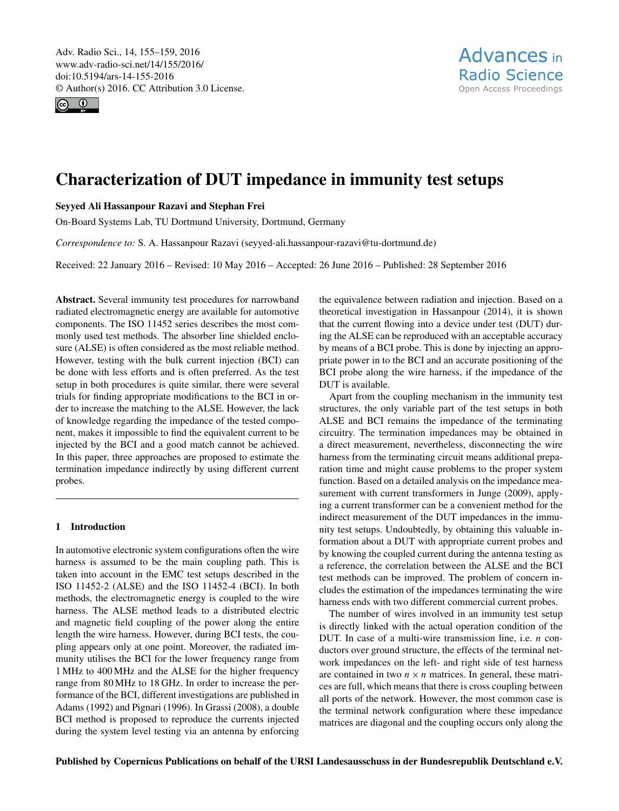<span id="page-0-0"></span>Adv. Radio Sci., 14, 155–159, 2016 www.adv-radio-sci.net/14/155/2016/ doi:10.5194/ars-14-155-2016 © Author(s) 2016. CC Attribution 3.0 License.



# Characterization of DUT impedance in immunity test setups

Seyyed Ali Hassanpour Razavi and Stephan Frei

On-Board Systems Lab, TU Dortmund University, Dortmund, Germany

*Correspondence to:* S. A. Hassanpour Razavi (seyyed-ali.hassanpour-razavi@tu-dortmund.de)

Received: 22 January 2016 – Revised: 10 May 2016 – Accepted: 26 June 2016 – Published: 28 September 2016

Abstract. Several immunity test procedures for narrowband radiated electromagnetic energy are available for automotive components. The ISO 11452 series describes the most commonly used test methods. The absorber line shielded enclosure (ALSE) is often considered as the most reliable method. However, testing with the bulk current injection (BCI) can be done with less efforts and is often preferred. As the test setup in both procedures is quite similar, there were several trials for finding appropriate modifications to the BCI in order to increase the matching to the ALSE. However, the lack of knowledge regarding the impedance of the tested component, makes it impossible to find the equivalent current to be injected by the BCI and a good match cannot be achieved. In this paper, three approaches are proposed to estimate the termination impedance indirectly by using different current probes.

## 1 Introduction

In automotive electronic system configurations often the wire harness is assumed to be the main coupling path. This is taken into account in the EMC test setups described in the ISO 11452-2 (ALSE) and the ISO 11452-4 (BCI). In both methods, the electromagnetic energy is coupled to the wire harness. The ALSE method leads to a distributed electric and magnetic field coupling of the power along the entire length the wire harness. However, during BCI tests, the coupling appears only at one point. Moreover, the radiated immunity utilises the BCI for the lower frequency range from 1 MHz to 400 MHz and the ALSE for the higher frequency range from 80 MHz to 18 GHz. In order to increase the performance of the BCI, different investigations are published in Adams (1992) and Pignari (1996). In Grassi (2008), a double BCI method is proposed to reproduce the currents injected during the system level testing via an antenna by enforcing the equivalence between radiation and injection. Based on a theoretical investigation in Hassanpour (2014), it is shown that the current flowing into a device under test (DUT) during the ALSE can be reproduced with an acceptable accuracy by means of a BCI probe. This is done by injecting an appropriate power in to the BCI and an accurate positioning of the BCI probe along the wire harness, if the impedance of the DUT is available.

Apart from the coupling mechanism in the immunity test structures, the only variable part of the test setups in both ALSE and BCI remains the impedance of the terminating circuitry. The termination impedances may be obtained in a direct measurement, nevertheless, disconnecting the wire harness from the terminating circuit means additional preparation time and might cause problems to the proper system function. Based on a detailed analysis on the impedance measurement with current transformers in Junge (2009), applying a current transformer can be a convenient method for the indirect measurement of the DUT impedances in the immunity test setups. Undoubtedly, by obtaining this valuable information about a DUT with appropriate current probes and by knowing the coupled current during the antenna testing as a reference, the correlation between the ALSE and the BCI test methods can be improved. The problem of concern includes the estimation of the impedances terminating the wire harness ends with two different commercial current probes.

The number of wires involved in an immunity test setup is directly linked with the actual operation condition of the DUT. In case of a multi-wire transmission line, i.e.  $n$  conductors over ground structure, the effects of the terminal network impedances on the left- and right side of test harness are contained in two  $n \times n$  matrices. In general, these matrices are full, which means that there is cross coupling between all ports of the network. However, the most common case is the terminal network configuration where these impedance matrices are diagonal and the coupling occurs only along the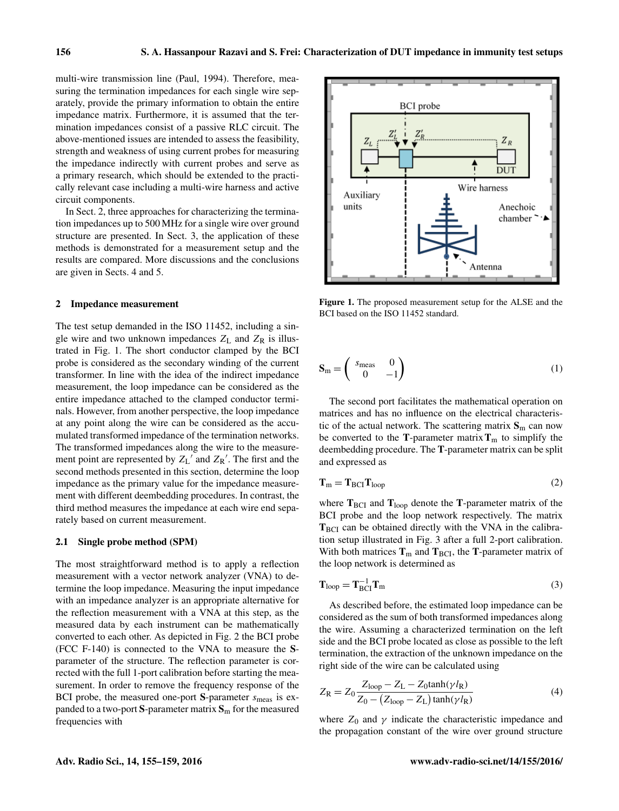multi-wire transmission line (Paul, 1994). Therefore, measuring the termination impedances for each single wire separately, provide the primary information to obtain the entire impedance matrix. Furthermore, it is assumed that the termination impedances consist of a passive RLC circuit. The above-mentioned issues are intended to assess the feasibility, strength and weakness of using current probes for measuring the impedance indirectly with current probes and serve as a primary research, which should be extended to the practically relevant case including a multi-wire harness and active circuit components.

In Sect. 2, three approaches for characterizing the termination impedances up to 500 MHz for a single wire over ground structure are presented. In Sect. 3, the application of these methods is demonstrated for a measurement setup and the results are compared. More discussions and the conclusions are given in Sects. 4 and 5.

# 2 Impedance measurement

The test setup demanded in the ISO 11452, including a single wire and two unknown impedances  $Z_L$  and  $Z_R$  is illustrated in Fig. 1. The short conductor clamped by the BCI probe is considered as the secondary winding of the current transformer. In line with the idea of the indirect impedance measurement, the loop impedance can be considered as the entire impedance attached to the clamped conductor terminals. However, from another perspective, the loop impedance at any point along the wire can be considered as the accumulated transformed impedance of the termination networks. The transformed impedances along the wire to the measurement point are represented by  $Z_L'$  and  $Z_R'$ . The first and the second methods presented in this section, determine the loop impedance as the primary value for the impedance measurement with different deembedding procedures. In contrast, the third method measures the impedance at each wire end separately based on current measurement.

# 2.1 Single probe method (SPM)

The most straightforward method is to apply a reflection measurement with a vector network analyzer (VNA) to determine the loop impedance. Measuring the input impedance with an impedance analyzer is an appropriate alternative for the reflection measurement with a VNA at this step, as the measured data by each instrument can be mathematically converted to each other. As depicted in Fig. 2 the BCI probe (FCC F-140) is connected to the VNA to measure the Sparameter of the structure. The reflection parameter is corrected with the full 1-port calibration before starting the measurement. In order to remove the frequency response of the BCI probe, the measured one-port  $S$ -parameter  $s_{\text{meas}}$  is expanded to a two-port S-parameter matrix  $S_m$  for the measured frequencies with



Figure 1. The proposed measurement setup for the ALSE and the BCI based on the ISO 11452 standard.

$$
\mathbf{S}_{\mathrm{m}} = \begin{pmatrix} s_{\mathrm{meas}} & 0\\ 0 & -1 \end{pmatrix} \tag{1}
$$

The second port facilitates the mathematical operation on matrices and has no influence on the electrical characteristic of the actual network. The scattering matrix  $S_m$  can now be converted to the T-parameter matrix  $T_m$  to simplify the deembedding procedure. The T-parameter matrix can be split and expressed as

$$
T_m = T_{\text{BCI}} T_{\text{loop}} \tag{2}
$$

where  $T_{\text{BCI}}$  and  $T_{\text{loop}}$  denote the T-parameter matrix of the BCI probe and the loop network respectively. The matrix  $T_{\text{BCI}}$  can be obtained directly with the VNA in the calibration setup illustrated in Fig. 3 after a full 2-port calibration. With both matrices  $T_m$  and  $T_{BCI}$ , the T-parameter matrix of the loop network is determined as

$$
\mathbf{T}_{\text{loop}} = \mathbf{T}_{\text{BCI}}^{-1} \mathbf{T}_{\text{m}} \tag{3}
$$

As described before, the estimated loop impedance can be considered as the sum of both transformed impedances along the wire. Assuming a characterized termination on the left side and the BCI probe located as close as possible to the left termination, the extraction of the unknown impedance on the right side of the wire can be calculated using

$$
Z_{\rm R} = Z_0 \frac{Z_{\rm loop} - Z_{\rm L} - Z_0 \tanh(\gamma l_{\rm R})}{Z_0 - (Z_{\rm loop} - Z_{\rm L}) \tanh(\gamma l_{\rm R})}
$$
(4)

where  $Z_0$  and  $\gamma$  indicate the characteristic impedance and the propagation constant of the wire over ground structure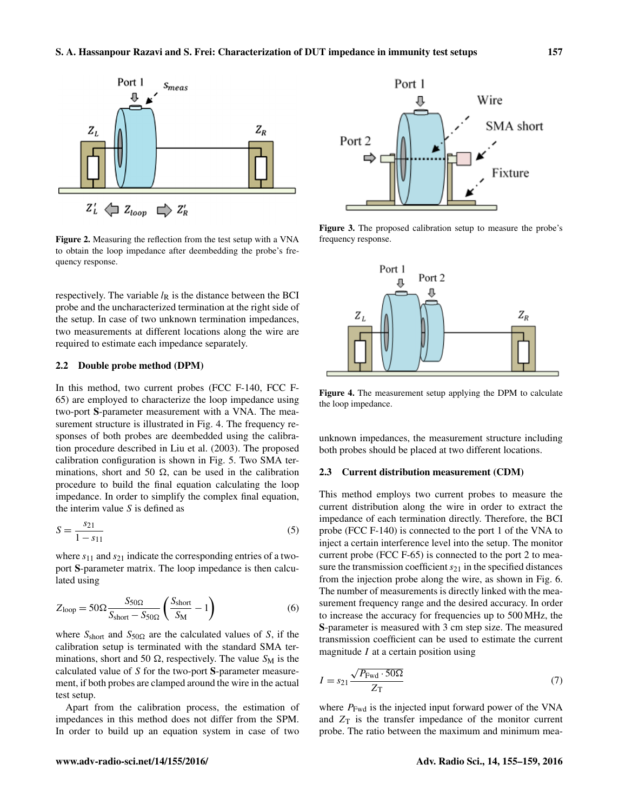

Figure 2. Measuring the reflection from the test setup with a VNA to obtain the loop impedance after deembedding the probe's frequency response.

respectively. The variable  $l<sub>R</sub>$  is the distance between the BCI probe and the uncharacterized termination at the right side of the setup. In case of two unknown termination impedances, two measurements at different locations along the wire are required to estimate each impedance separately.

### 2.2 Double probe method (DPM)

In this method, two current probes (FCC F-140, FCC F-65) are employed to characterize the loop impedance using two-port S-parameter measurement with a VNA. The measurement structure is illustrated in Fig. 4. The frequency responses of both probes are deembedded using the calibration procedure described in Liu et al. (2003). The proposed calibration configuration is shown in Fig. 5. Two SMA terminations, short and 50  $\Omega$ , can be used in the calibration procedure to build the final equation calculating the loop impedance. In order to simplify the complex final equation, the interim value  $S$  is defined as

$$
S = \frac{s_{21}}{1 - s_{11}}\tag{5}
$$

where  $s_{11}$  and  $s_{21}$  indicate the corresponding entries of a twoport S-parameter matrix. The loop impedance is then calculated using

$$
Z_{\text{loop}} = 50\Omega \frac{S_{50\Omega}}{S_{\text{short}} - S_{50\Omega}} \left( \frac{S_{\text{short}}}{S_{\text{M}}} - 1 \right)
$$
 (6)

where  $S_{\text{short}}$  and  $S_{50\Omega}$  are the calculated values of S, if the calibration setup is terminated with the standard SMA terminations, short and 50  $\Omega$ , respectively. The value  $S_M$  is the calculated value of S for the two-port S-parameter measurement, if both probes are clamped around the wire in the actual test setup.

Apart from the calibration process, the estimation of impedances in this method does not differ from the SPM. In order to build up an equation system in case of two



Figure 3. The proposed calibration setup to measure the probe's frequency response.



Figure 4. The measurement setup applying the DPM to calculate the loop impedance.

unknown impedances, the measurement structure including both probes should be placed at two different locations.

## 2.3 Current distribution measurement (CDM)

This method employs two current probes to measure the current distribution along the wire in order to extract the impedance of each termination directly. Therefore, the BCI probe (FCC F-140) is connected to the port 1 of the VNA to inject a certain interference level into the setup. The monitor current probe (FCC F-65) is connected to the port 2 to measure the transmission coefficient  $s_{21}$  in the specified distances from the injection probe along the wire, as shown in Fig. 6. The number of measurements is directly linked with the measurement frequency range and the desired accuracy. In order to increase the accuracy for frequencies up to 500 MHz, the S-parameter is measured with 3 cm step size. The measured transmission coefficient can be used to estimate the current magnitude  $I$  at a certain position using

$$
I = s_{21} \frac{\sqrt{P_{\text{Fwd}} \cdot 50\Omega}}{Z_{\text{T}}}
$$
 (7)

where  $P_{\text{Fwd}}$  is the injected input forward power of the VNA and  $Z_T$  is the transfer impedance of the monitor current probe. The ratio between the maximum and minimum mea-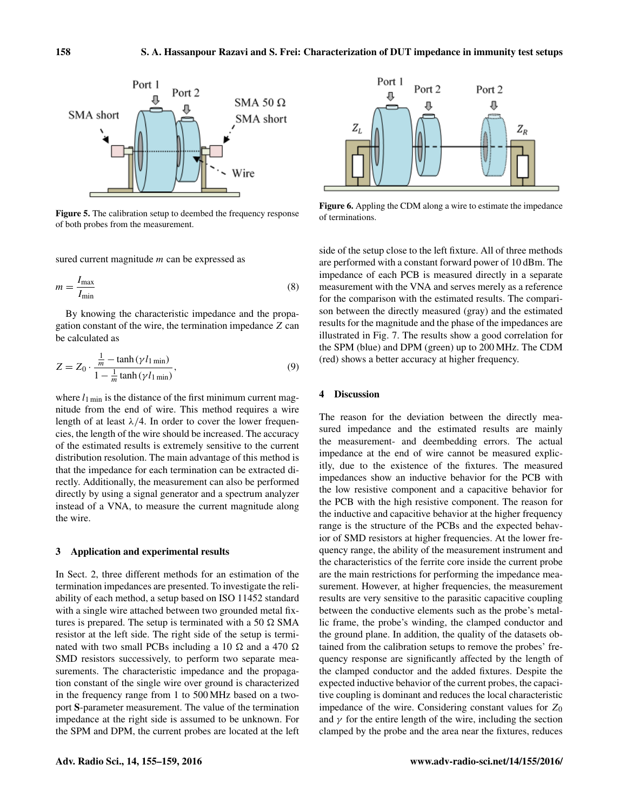

Figure 5. The calibration setup to deembed the frequency response of both probes from the measurement.

sured current magnitude *m* can be expressed as

$$
m = \frac{I_{\text{max}}}{I_{\text{min}}} \tag{8}
$$

By knowing the characteristic impedance and the propagation constant of the wire, the termination impedance Z can be calculated as

$$
Z = Z_0 \cdot \frac{\frac{1}{m} - \tanh(\gamma l_{1\min})}{1 - \frac{1}{m}\tanh(\gamma l_{1\min})},
$$
\n(9)

where  $l_1$ <sub>min</sub> is the distance of the first minimum current magnitude from the end of wire. This method requires a wire length of at least  $\lambda/4$ . In order to cover the lower frequencies, the length of the wire should be increased. The accuracy of the estimated results is extremely sensitive to the current distribution resolution. The main advantage of this method is that the impedance for each termination can be extracted directly. Additionally, the measurement can also be performed directly by using a signal generator and a spectrum analyzer instead of a VNA, to measure the current magnitude along the wire.

# 3 Application and experimental results

In Sect. 2, three different methods for an estimation of the termination impedances are presented. To investigate the reliability of each method, a setup based on ISO 11452 standard with a single wire attached between two grounded metal fixtures is prepared. The setup is terminated with a 50  $\Omega$  SMA resistor at the left side. The right side of the setup is terminated with two small PCBs including a 10  $\Omega$  and a 470  $\Omega$ SMD resistors successively, to perform two separate measurements. The characteristic impedance and the propagation constant of the single wire over ground is characterized in the frequency range from 1 to 500 MHz based on a twoport S-parameter measurement. The value of the termination impedance at the right side is assumed to be unknown. For the SPM and DPM, the current probes are located at the left



Figure 6. Appling the CDM along a wire to estimate the impedance of terminations.

side of the setup close to the left fixture. All of three methods are performed with a constant forward power of 10 dBm. The impedance of each PCB is measured directly in a separate measurement with the VNA and serves merely as a reference for the comparison with the estimated results. The comparison between the directly measured (gray) and the estimated results for the magnitude and the phase of the impedances are illustrated in Fig. 7. The results show a good correlation for the SPM (blue) and DPM (green) up to 200 MHz. The CDM (red) shows a better accuracy at higher frequency.

#### 4 Discussion

The reason for the deviation between the directly measured impedance and the estimated results are mainly the measurement- and deembedding errors. The actual impedance at the end of wire cannot be measured explicitly, due to the existence of the fixtures. The measured impedances show an inductive behavior for the PCB with the low resistive component and a capacitive behavior for the PCB with the high resistive component. The reason for the inductive and capacitive behavior at the higher frequency range is the structure of the PCBs and the expected behavior of SMD resistors at higher frequencies. At the lower frequency range, the ability of the measurement instrument and the characteristics of the ferrite core inside the current probe are the main restrictions for performing the impedance measurement. However, at higher frequencies, the measurement results are very sensitive to the parasitic capacitive coupling between the conductive elements such as the probe's metallic frame, the probe's winding, the clamped conductor and the ground plane. In addition, the quality of the datasets obtained from the calibration setups to remove the probes' frequency response are significantly affected by the length of the clamped conductor and the added fixtures. Despite the expected inductive behavior of the current probes, the capacitive coupling is dominant and reduces the local characteristic impedance of the wire. Considering constant values for  $Z_0$ and  $\gamma$  for the entire length of the wire, including the section clamped by the probe and the area near the fixtures, reduces